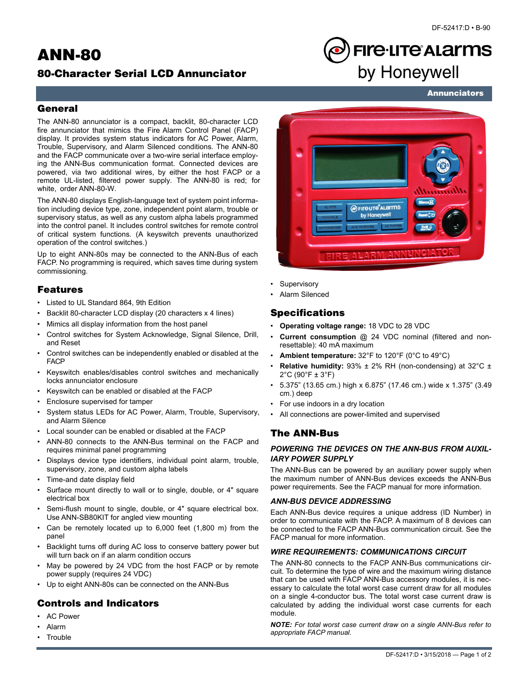## **ANN-80**

## **80-Character Serial LCD Annunciator**

# **FIre·LITe\*ALarms** by Honeywell

**Annunciators**

## **General**

The ANN-80 annunciator is a compact, backlit, 80-character LCD fire annunciator that mimics the Fire Alarm Control Panel (FACP) display. It provides system status indicators for AC Power, Alarm, Trouble, Supervisory, and Alarm Silenced conditions. The ANN-80 and the FACP communicate over a two-wire serial interface employing the ANN-Bus communication format. Connected devices are powered, via two additional wires, by either the host FACP or a remote UL-listed, filtered power supply. The ANN-80 is red; for white, order ANN-80-W.

The ANN-80 displays English-language text of system point information including device type, zone, independent point alarm, trouble or supervisory status, as well as any custom alpha labels programmed into the control panel. It includes control switches for remote control of critical system functions. (A keyswitch prevents unauthorized operation of the control switches.)

Up to eight ANN-80s may be connected to the ANN-Bus of each FACP. No programming is required, which saves time during system commissioning.

## **Features**

- Listed to UL Standard 864, 9th Edition
- Backlit 80-character LCD display (20 characters x 4 lines)
- Mimics all display information from the host panel
- Control switches for System Acknowledge, Signal Silence, Drill, and Reset
- Control switches can be independently enabled or disabled at the FACP
- Keyswitch enables/disables control switches and mechanically locks annunciator enclosure
- Keyswitch can be enabled or disabled at the FACP
- Enclosure supervised for tamper
- System status LEDs for AC Power, Alarm, Trouble, Supervisory, and Alarm Silence
- Local sounder can be enabled or disabled at the FACP
- ANN-80 connects to the ANN-Bus terminal on the FACP and requires minimal panel programming
- Displays device type identifiers, individual point alarm, trouble, supervisory, zone, and custom alpha labels
- Time-and date display field
- Surface mount directly to wall or to single, double, or 4" square electrical box
- Semi-flush mount to single, double, or 4" square electrical box. Use ANN-SB80KIT for angled view mounting
- Can be remotely located up to 6,000 feet (1,800 m) from the panel
- Backlight turns off during AC loss to conserve battery power but will turn back on if an alarm condition occurs
- May be powered by 24 VDC from the host FACP or by remote power supply (requires 24 VDC)
- Up to eight ANN-80s can be connected on the ANN-Bus

## **Controls and Indicators**

- AC Power
- Alarm
- **Trouble**



- **Supervisory**
- Alarm Silenced

## **Specifications**

- **Operating voltage range:** 18 VDC to 28 VDC
- **Current consumption** @ 24 VDC nominal (filtered and nonresettable): 40 mA maximum
- **Ambient temperature:** 32°F to 120°F (0°C to 49°C)
- **Relative humidity:** 93% ± 2% RH (non-condensing) at 32°C ± 2°C (90°F ± 3°F)
- 5.375" (13.65 cm.) high x 6.875" (17.46 cm.) wide x 1.375" (3.49 cm.) deep
- For use indoors in a dry location
- All connections are power-limited and supervised

## **The ANN-Bus**

#### *POWERING THE DEVICES ON THE ANN-BUS FROM AUXIL-IARY POWER SUPPLY*

The ANN-Bus can be powered by an auxiliary power supply when the maximum number of ANN-Bus devices exceeds the ANN-Bus power requirements. See the FACP manual for more information.

#### *ANN-BUS DEVICE ADDRESSING*

Each ANN-Bus device requires a unique address (ID Number) in order to communicate with the FACP. A maximum of 8 devices can be connected to the FACP ANN-Bus communication circuit. See the FACP manual for more information.

#### *WIRE REQUIREMENTS: COMMUNICATIONS CIRCUIT*

The ANN-80 connects to the FACP ANN-Bus communications circuit. To determine the type of wire and the maximum wiring distance that can be used with FACP ANN-Bus accessory modules, it is necessary to calculate the total worst case current draw for all modules on a single 4-conductor bus. The total worst case current draw is calculated by adding the individual worst case currents for each module.

*NOTE: For total worst case current draw on a single ANN-Bus refer to appropriate FACP manual.*